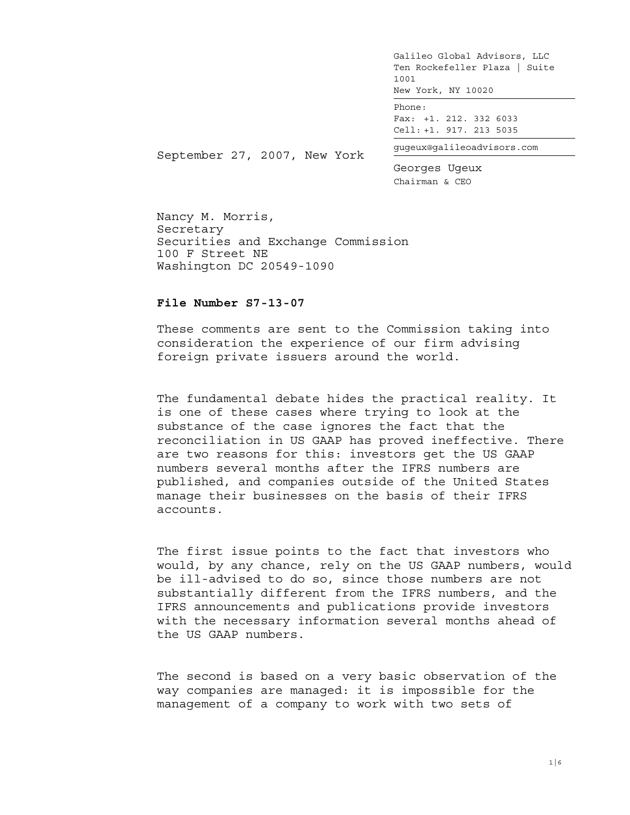Phone: Fax: +1. 212. 332 6033 Cell: +1. 917. 213 5035

gugeux@galileoadvisors.com

September 27, 2007, New York

Georges Ugeux Chairman & CEO

Nancy M. Morris, Secretary Securities and Exchange Commission 100 F Street NE Washington DC 20549-1090

## **File Number S7-13-07**

These comments are sent to the Commission taking into consideration the experience of our firm advising foreign private issuers around the world.

The fundamental debate hides the practical reality. It is one of these cases where trying to look at the substance of the case ignores the fact that the reconciliation in US GAAP has proved ineffective. There are two reasons for this: investors get the US GAAP numbers several months after the IFRS numbers are published, and companies outside of the United States manage their businesses on the basis of their IFRS accounts.

The first issue points to the fact that investors who would, by any chance, rely on the US GAAP numbers, would be ill-advised to do so, since those numbers are not substantially different from the IFRS numbers, and the IFRS announcements and publications provide investors with the necessary information several months ahead of the US GAAP numbers.

The second is based on a very basic observation of the way companies are managed: it is impossible for the management of a company to work with two sets of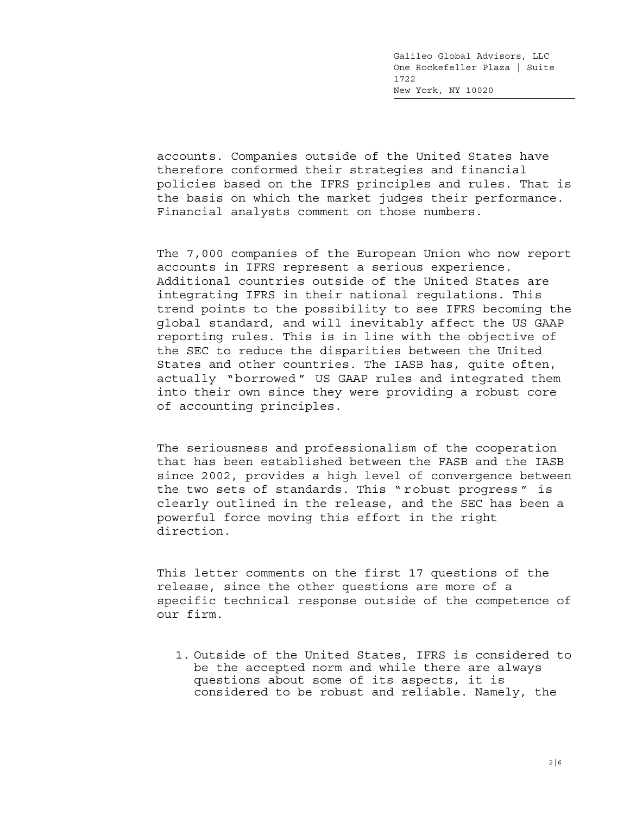accounts. Companies outside of the United States have therefore conformed their strategies and financial policies based on the IFRS principles and rules. That is the basis on which the market judges their performance. Financial analysts comment on those numbers.

The 7,000 companies of the European Union who now report accounts in IFRS represent a serious experience. Additional countries outside of the United States are integrating IFRS in their national regulations. This trend points to the possibility to see IFRS becoming the global standard, and will inevitably affect the US GAAP reporting rules. This is in line with the objective of the SEC to reduce the disparities between the United States and other countries. The IASB has, quite often, actually "borrowed " US GAAP rules and integrated them into their own since they were providing a robust core of accounting principles.

The seriousness and professionalism of the cooperation that has been established between the FASB and the IASB since 2002, provides a high level of convergence between the two sets of standards. This " robust progress " is clearly outlined in the release, and the SEC has been a powerful force moving this effort in the right direction.

This letter comments on the first 17 questions of the release, since the other questions are more of a specific technical response outside of the competence of our firm.

1. Outside of the United States, IFRS is considered to be the accepted norm and while there are always questions about some of its aspects, it is considered to be robust and reliable. Namely, the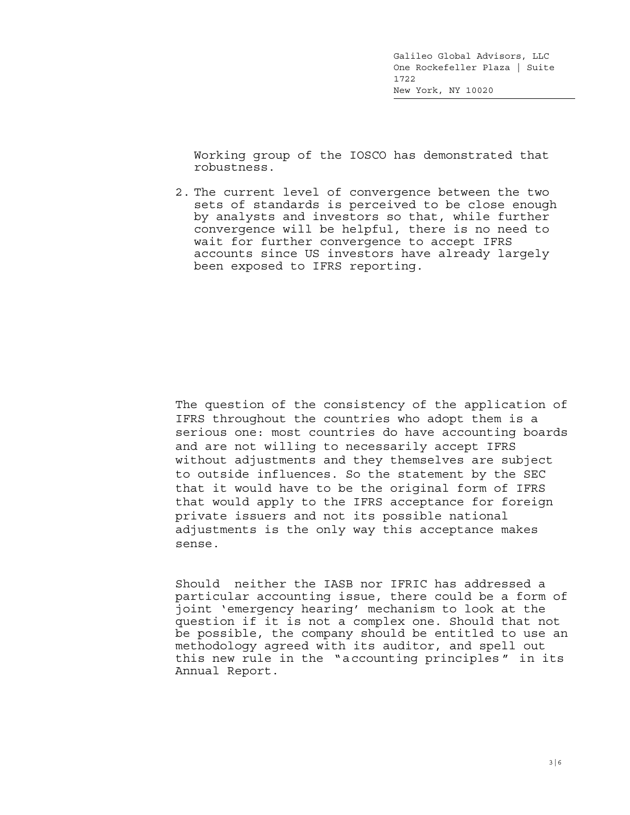Working group of the IOSCO has demonstrated that robustness.

2. The current level of convergence between the two sets of standards is perceived to be close enough by analysts and investors so that, while further convergence will be helpful, there is no need to wait for further convergence to accept IFRS accounts since US investors have already largely been exposed to IFRS reporting.

The question of the consistency of the application of IFRS throughout the countries who adopt them is a serious one: most countries do have accounting boards and are not willing to necessarily accept IFRS without adjustments and they themselves are subject to outside influences. So the statement by the SEC that it would have to be the original form of IFRS that would apply to the IFRS acceptance for foreign private issuers and not its possible national adjustments is the only way this acceptance makes sense.

Should neither the IASB nor IFRIC has addressed a particular accounting issue, there could be a form of joint 'emergency hearing' mechanism to look at the question if it is not a complex one. Should that not be possible, the company should be entitled to use an methodology agreed with its auditor, and spell out this new rule in the "accounting principles " in its Annual Report.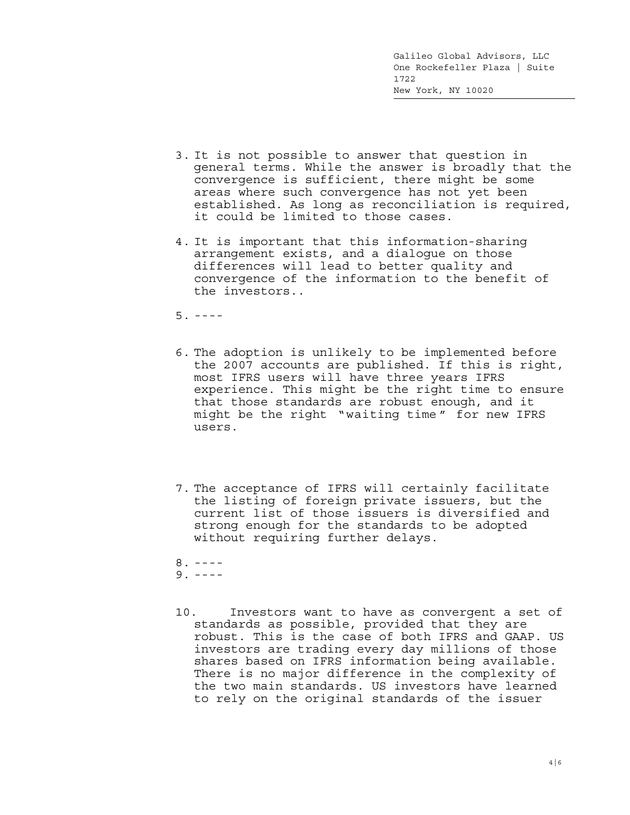- 3. It is not possible to answer that question in general terms. While the answer is broadly that the convergence is sufficient, there might be some areas where such convergence has not yet been established. As long as reconciliation is required, it could be limited to those cases.
- 4. It is important that this information-sharing arrangement exists, and a dialogue on those differences will lead to better quality and convergence of the information to the benefit of the investors..

 $5. - - - -$ 

- 6. The adoption is unlikely to be implemented before the 2007 accounts are published. If this is right, most IFRS users will have three years IFRS experience. This might be the right time to ensure that those standards are robust enough, and it might be the right "waiting time " for new IFRS users.
- 7. The acceptance of IFRS will certainly facilitate the listing of foreign private issuers, but the current list of those issuers is diversified and strong enough for the standards to be adopted without requiring further delays.

 $8. - - - 9. - - - -$ 

10. Investors want to have as convergent a set of standards as possible, provided that they are robust. This is the case of both IFRS and GAAP. US investors are trading every day millions of those shares based on IFRS information being available. There is no major difference in the complexity of the two main standards. US investors have learned to rely on the original standards of the issuer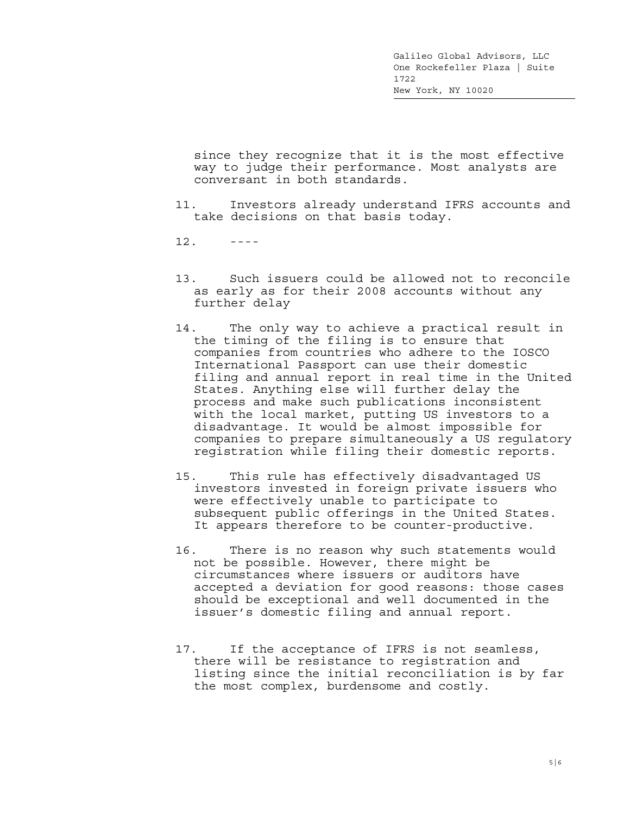since they recognize that it is the most effective way to judge their performance. Most analysts are conversant in both standards.

- 11. Investors already understand IFRS accounts and take decisions on that basis today.
- $12.$  ----
- 13. Such issuers could be allowed not to reconcile as early as for their 2008 accounts without any further delay
- 14. The only way to achieve a practical result in the timing of the filing is to ensure that companies from countries who adhere to the IOSCO International Passport can use their domestic filing and annual report in real time in the United States. Anything else will further delay the process and make such publications inconsistent with the local market, putting US investors to a disadvantage. It would be almost impossible for companies to prepare simultaneously a US regulatory registration while filing their domestic reports.
- 15. This rule has effectively disadvantaged US investors invested in foreign private issuers who were effectively unable to participate to subsequent public offerings in the United States. It appears therefore to be counter-productive.
- 16. There is no reason why such statements would not be possible. However, there might be circumstances where issuers or auditors have accepted a deviation for good reasons: those cases should be exceptional and well documented in the issuer's domestic filing and annual report.
- 17. If the acceptance of IFRS is not seamless, there will be resistance to registration and listing since the initial reconciliation is by far the most complex, burdensome and costly.